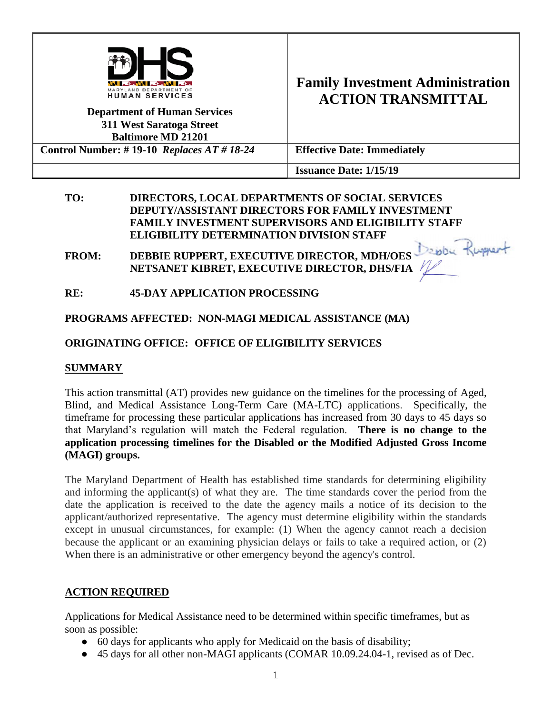

# **Family Investment Administration ACTION TRANSMITTAL**

|                                            | ACTION TIVANOMITTIAD               |
|--------------------------------------------|------------------------------------|
| <b>Department of Human Services</b>        |                                    |
| 311 West Saratoga Street                   |                                    |
| <b>Baltimore MD 21201</b>                  |                                    |
| Control Number: #19-10 Replaces $AT#18-24$ | <b>Effective Date: Immediately</b> |
|                                            | <b>Issuance Date: 1/15/19</b>      |

#### **TO: DIRECTORS, LOCAL DEPARTMENTS OF SOCIAL SERVICES DEPUTY/ASSISTANT DIRECTORS FOR FAMILY INVESTMENT FAMILY INVESTMENT SUPERVISORS AND ELIGIBILITY STAFF ELIGIBILITY DETERMINATION DIVISION STAFF**

- FROM: DEBBIE RUPPERT, EXECUTIVE DIRECTOR, MDH/OES **NETSANET KIBRET, EXECUTIVE DIRECTOR, DHS/FIA**
- **RE: 45-DAY APPLICATION PROCESSING**

**PROGRAMS AFFECTED: NON-MAGI MEDICAL ASSISTANCE (MA)**

### **ORIGINATING OFFICE: OFFICE OF ELIGIBILITY SERVICES**

#### **SUMMARY**

This action transmittal (AT) provides new guidance on the timelines for the processing of Aged, Blind, and Medical Assistance Long-Term Care (MA-LTC) applications. Specifically, the timeframe for processing these particular applications has increased from 30 days to 45 days so that Maryland's regulation will match the Federal regulation. **There is no change to the application processing timelines for the Disabled or the Modified Adjusted Gross Income (MAGI) groups.** 

The Maryland Department of Health has established time standards for determining eligibility and informing the applicant(s) of what they are. The time standards cover the period from the date the application is received to the date the agency mails a notice of its decision to the applicant/authorized representative. The agency must determine eligibility within the standards except in unusual circumstances, for example: (1) When the agency cannot reach a decision because the applicant or an examining physician delays or fails to take a required action, or (2) When there is an administrative or other emergency beyond the agency's control.

#### **ACTION REQUIRED**

Applications for Medical Assistance need to be determined within specific timeframes, but as soon as possible:

- 60 days for applicants who apply for Medicaid on the basis of disability;
- 45 days for all other non-MAGI applicants (COMAR 10.09.24.04-1, revised as of Dec.